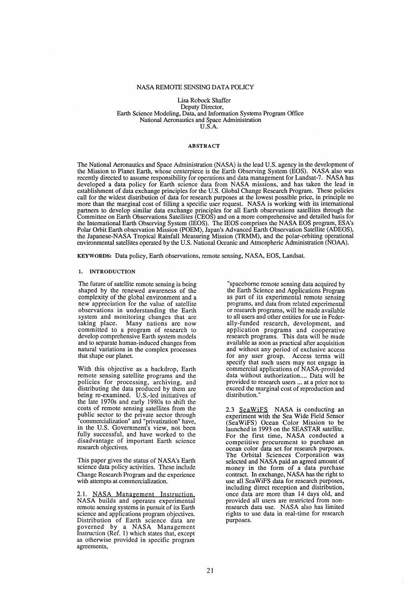## NASA REMOTE SENSING DATA POLICY

Lisa Robock Shaffer Deputy Director, Earth Science Modeling, Data, and Information Systems Program Office National Aeronautics and Space Administration *V.S.A.* 

### ABSTRACT

The National Aeronautics and Space Administration (NASA) is the lead *V.S.* agency in the development of the Mission to Planet Earth, whose centerpiece is the Earth Observing System (EOS). NASA also was recently directed to assume responsibility for operations and data management for Landsat-7. NASA has developed a data policy for Earth science data from NASA missions, and has taken the lead in establishment of data exchange principles for the *V.S.* Global Change Research Program. These policies call for the widest distribution of data for research purposes at the lowest possible price, in principle no more than the marginal cost of filling a specific user request. NASA is working with its international partners to develop similar data exchange principles for all Earth observations satellites through the Committee on Earth Observations Satellites (CEOS) and on a more comprehensive and detailed basis for the International Earth Observing System (IEOS). The IEOS comprises the NASA EOS program, ESA's Polar Orbit Earth observation Mission (POEM), Japan's Advanced Earth Observation Satellite (ADEOS), the Japanese-NASA Tropical Rainfall Measuring Mission (TRMM), and the polar-orbiting operational environmental satellites operated by the U.S. National Oceanic and Atmospheric Administration (NOAA).

KEYWORDS: Data policy, Earth observations, remote sensing, NASA, EOS, Landsat.

#### 1. INTRODUCTION

The future of satellite remote sensing is being shaped by the renewed awareness of the complexity of the global environment and a new appreciation for the value of satellite observations in understanding the Earth system and monitoring changes that are taking place. Many nations are now committed to a program of research to develop comprehensive Earth system models and to separate human-induced changes from natural variations in the complex processes that shape our planet.

With this objective as a backdrop, Earth remote sensing satellite programs and the policies for processing, archiving, and distributing the data produced by them are being re-examined. U.S.-led initiatives of the late 1970s and early 1980s to shift the costs of remote sensing satellites from the public sector to the private sector through "commercialization" and "privatization" have, in the *V.S.* Government's view, not been fully successful, and have worked to the dis advantage of important Earth science research objectives.

This paper gives the status of NASA's Earth science data policy activities. These include Change Research Program and the experience with attempts at commercialization.

2.1. NASA Management Instruction NASA builds and operates experimental remote sensing systems in pursuit of its Earth science and applications program objectives. Distribution of Earth science data are governed by a NASA Management Instruction (Ref. 1) which states that, except as otherwise provided in specific program agreements,

"spaceborne remote sensing data acquired by the Earth Science and Applications Program as part of its experimental remote sensing programs, and data from related experimental or research programs, will be made available to all users and other entities for use in Federally-funded research, development, and application programs and cooperative research programs. This data will be made available as soon as practical after acquisition and without any period of exclusive access for any user group. Access terms will specify that such users may not engage in commercial applications of NASA-provided data without authorization.... Data will be provided to research users ... at a price not to exceed the marginal cost of reproduction and distribution.'

2.3 SeaWiFS NASA is conducting an experiment with the Sea Wide Field Sensor (SeaWiFS) Ocean Color Mission to be launched in 1993 on the SEASTAR satellite. For the first time, NASA conducted a competitive procurement to purchase an competitive procurement to purchase an ocean color data set for research purposes. The Orbital Sciences Corporation was selected and NASA paid an agreed amount of money in the form of a data purchase contract. In exchange, NASA has the right to use all SeaWiFS data for research purposes, including direct reception and distribution, once data are more than 14 days old, and provided all users are restricted from nonresearch data use. NASA also has limited rights to use data in real-time for research purposes.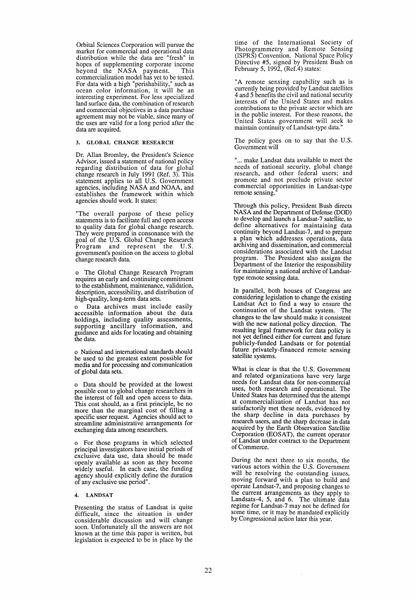Orbital Sciences Corporation will pursue the market for commercial and operational data distribution while the data are "fresh" in hopes of supplementing corporate income beyond the NASA payment. This commercialization model has yet to be tested. For data with a high "perishability," such as ocean color information, it will be an interesting experiment. For less specialized land surface data, the combination of research and commercial objectives in a data purchase agreement may not be viable, since many of the uses are valid for a long period after the data are acquired.

### 3. GLOBAL CHANGE RESEARCH

Dr. Allan Bromley, the President's Science Advisor, issued a statement of national policy regarding distribution of data for global change research in July 1991 (Ref. 3). This statement applies to all *V.S.* Government agencies, including NASA and NOAA, and establishes the framework within which agencies should work. It states:

"The overall purpose of these policy statements is to facilitate full and open access to quality data for global change research. They were prepared in consonance with the goal of the *V.S.* Global Change Research Program and represent the *V.S.*  government's position on the access to global change research data.

o The Global Change Research Program requires an early and continuing commitment to the establishment, maintenance, validation, description, accessibility, and distribution of high-quality, long-term data sets.

Data archives must include easily accessible information about the data holdings, including quality assessments, supporting ancillary information, and guidance and aids for locating and obtaining the data.

o National and international standards should be used to the greatest extent possible for media and for processing and communication of global data sets.

o Data should be provided at the lowest possible cost to global change researchers in the interest of full and open access to data.<br>This cost should, as a first principle, be no more than the marginal cost of filling a specific user request. Agencies should act to streamline administrative arrangements for exchanging data among researchers.

o For those programs in which selected principal investigators have initial periods of exclusive data use, data should be made openly available as soon as they become widely useful. In each case, the funding agency should explicitly define the duration of any exclusive use period".

### 4. LANDSAT

Presenting the status of Landsat is quite difficult, since the situation is under<br>considerable discussion and will change soon. Unfortunately all the answers are not known at the time this paper is written, but legislation is expected to be in place by the time of the International Society of Photogrammetry and Remote Sensing (ISPRS) Convention. National Space Policy Directive #5, signed by President Bush on February 5, 1992,  $(Ref.4)$  states:

"A remote sensing capability such as is currently being provided by Landsat satellites 4 and 5 benefits the civil and national security interests of the Vnited States and makes contributions to the private sector which are in the public interest. For these reasons, the Vnited States government will seek to maintain continuity of Landsat-type data."

The policy goes on to say that the *V.S.*  Government will

"... make Landsat data available to meet the needs of national security, global change research, and other federal users; and promote and not preclude private sector commercial opportunities in Landsat-type remote sensing.

Through this policy, President Bush directs NASA and the Department of Defense (DOD) to develop and launch a Landsat-7 satellite, to<br>define alternatives for maintaining data continuity beyond Landsat-7, and to prepare a plan which addresses operations, data archiving and dissemination, and commercial considerations associated with the Landsat program. The President also assigns the Department of the Interior the responsibility for maintaining a national archive of Landsattype remote sensing data.

In parallel, both houses of Congress are considering legislation to change the existing Landsat Act to find a way to ensure the continuation of the Landsat system. The changes to the law should make it consistent with the new national policy direction. The resulting legal framework for data policy is not yet defined either for current and future publicly-funded Landsats or for potential future privately-financed remote sensing satellite systems.

What is clear is that the *V.S.* Government and related organizations have very large needs for Landsat data for non-commercial uses, both research and operational. The Vnited States has determined that the attempt at commerciaJization of Landsat has not satisfactorily met these needs, evidenced by the sharp decline in data purchases by research users, and the sharp decrease in data acquired by the Earth Observation Satellite Corporation (EOSAT), the current operator of Landsat under contract to the Department of Commerce.

During the next three to six months, the various actors within the *V.S.* Government will be resolving the outstanding issues, moving forward with a plan to build and operate Landsat-7, and proposing changes to the current arrangements as they apply to Landsats-4, 5, and 6. The ultimate data regime for Landsat-7 may not be defined for some time, or it may be mandated explicitly by Congressional action later this year.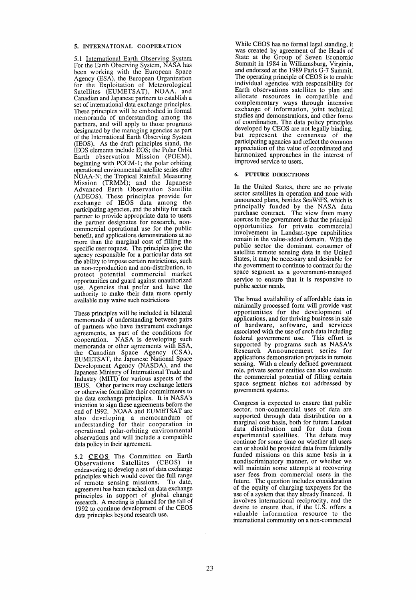## 5. INTERNATIONAL COOPERATION

5.1 International Earth Observing System For the Earth Observing System, NASA has been working with the European Space Agency (ESA), the European Organization for the Exploitation of Meteorological Satellites (EUMETSAT), NOAA, and Canadian and Japanese partners to establish a set of international data exchange principles. These principles will be embodied in formal memoranda of understanding among the partners, and will apply to those programs designated by the managing agencies as part of the International Earth Observing System (JEOS). As the draft principles stand, the IEOS elements include EOS; the Polar Orbit Earth observation Mission (POEM), beginning with POEM-I; the polar orbiting operational environmental satellite series after NOAA-N; the Tropical Rainfall Measuring Mission (TRMM); and the Japanese Advanced Barth Observation Satellite (ADEOS). These principles provide for exchange of IEOS data among the participating agencies, and the ability for each partner to provide appropriate data to users the partner designates for research, noncommercial operational use for the public benefit, and applications demonstrations at no more than the marginal cost of filling the specific user request. The principles give the agency responsible for a particular data set the ability to impose certain restrictions, such as non-reproduction and non-distribution, to protect potential commercial market opportunities and guard against unauthorized use. Agencies that prefer and have the authority to make their data more openly available may waive such restrictions

These principles will be included in bilateral memoranda of understanding between pairs of partners who have instrument exchange agreements, as part of the conditions for cooperation. NASA is developing such memoranda or other agreements with ESA, the Canadian Space Agency (CSA), EUMETSAT, the Japanese National Space Development Agency (NASDA), and the Japanese Ministry of International Trade and Industry (MITI) for various aspects of the IEOS. Other partners may exchange letters or otherwise formalize their commitments to the data exchange principles. It is NASA's intention to sign these agreements before the end of 1992. NOAA and EUMETSAT are also developing a memorandum of understanding for their cooperation in operational polar-orbiting environmental observations and will include a compatible data policy in their agreement.

5.2 CEOS The Committee on Earth Observations Satellites (CEOS) is endeavoring to develop a set of data exchange principles which would cover the full range of remote sensing missions. To date, agreement has been reached on data exchange principles in support of global change research. A meeting is planned for the fall of 1992 to continue development of the CEOS data principles beyond research use.

While CEOS has no formal legal standing, it was created by agreement of the Heads of State at the Group of Seven Economic Summit in 1984 in Williamsburg, Virginia, and endorsed at the 1989 Paris G-7 Summit. The operating principle of CEOS is to enable individual agencies with responsibility for Earth observations satellites to plan and allocate resources in compatible and complementary ways through intensive exchange of information, joint technical studies and demonstrations, and other forms of coordination. The data policy principles developed by CEOS are not legally binding, but represent the consensus of the participating agencies and reflect the common appreciation of the value of coordinated and harmonized approaches in the interest of improved service to users,

## 6. FUTURE DIRECTIONS

In the United States, there are no private sector satellites in operation and none with announced plans, besides Sea WiFS, which is principally funded by the NASA data purchase contract. The view from many sources in the government is that the principal opportunities for private commercial involvement in Landsat-type capabilities remain in the value-added domain. With the public sector the dominant consumer of satellite remote sensing data in the United States, it may be necessary and desirable for the government to continue to contract for the space segment as a government-managed service to ensure that it is responsive to public sector needs.

The broad availability of affordable data in minimally processed form will provide vast opportunities for the development of applications, and for thriving business in sale of hardware, software, and services associated with the use of such data including federal government use. This effort is supported by programs such as NASA's Research Announcement series for applications demonstration projects in remote sensing. With a clearly defined government role, private sector entities can also evaluate the commercial potential of filling certain space segment niches not addressed by government systems.

Congress is expected to ensure that public sector, non-commercial uses of data are supported through data distribution on a marginal cost basis, both for future Landsat data distribution and for data from experimental satellites. The debate may continue for some time on whether all users can or should be provided data from federally funded missions on this same basis in a nondiscriminatory manner, or whether we will maintain some attempts at recovering user fees from commercial users in the future. The question includes consideration of the equity of charging taxpayers for the use of a system that they already financed. It involves international reciprocity, and the desire to ensure that, if the U.S. offers a valuable information resource to the international community on a non-commercial